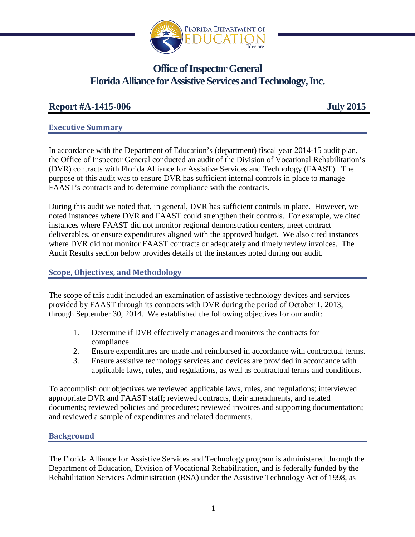

# **Office of Inspector General Florida Alliance for Assistive Services and Technology, Inc.**

# **Report #A-1415-006 July 2015**

## **Executive Summary**

In accordance with the Department of Education's (department) fiscal year 2014-15 audit plan, the Office of Inspector General conducted an audit of the Division of Vocational Rehabilitation's (DVR) contracts with Florida Alliance for Assistive Services and Technology (FAAST). The purpose of this audit was to ensure DVR has sufficient internal controls in place to manage FAAST's contracts and to determine compliance with the contracts.

During this audit we noted that, in general, DVR has sufficient controls in place. However, we noted instances where DVR and FAAST could strengthen their controls. For example, we cited instances where FAAST did not monitor regional demonstration centers, meet contract deliverables, or ensure expenditures aligned with the approved budget. We also cited instances where DVR did not monitor FAAST contracts or adequately and timely review invoices. The Audit Results section below provides details of the instances noted during our audit.

## **Scope, Objectives, and Methodology**

The scope of this audit included an examination of assistive technology devices and services provided by FAAST through its contracts with DVR during the period of October 1, 2013, through September 30, 2014. We established the following objectives for our audit:

- 1. Determine if DVR effectively manages and monitors the contracts for compliance.
- 2. Ensure expenditures are made and reimbursed in accordance with contractual terms.
- 3. Ensure assistive technology services and devices are provided in accordance with applicable laws, rules, and regulations, as well as contractual terms and conditions.

To accomplish our objectives we reviewed applicable laws, rules, and regulations; interviewed appropriate DVR and FAAST staff; reviewed contracts, their amendments, and related documents; reviewed policies and procedures; reviewed invoices and supporting documentation; and reviewed a sample of expenditures and related documents.

# **Background**

The Florida Alliance for Assistive Services and Technology program is administered through the Department of Education, Division of Vocational Rehabilitation, and is federally funded by the Rehabilitation Services Administration (RSA) under the Assistive Technology Act of 1998, as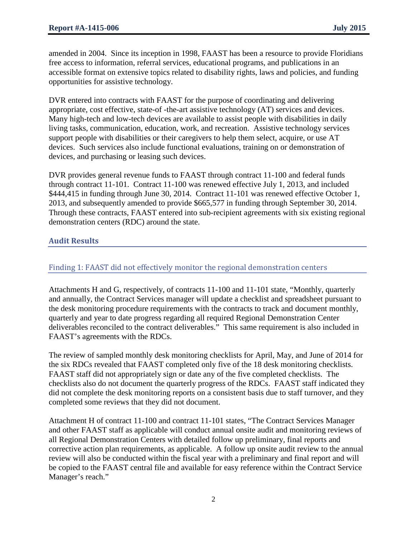amended in 2004. Since its inception in 1998, FAAST has been a resource to provide Floridians free access to information, referral services, educational programs, and publications in an accessible format on extensive topics related to disability rights, laws and policies, and funding opportunities for assistive technology.

DVR entered into contracts with FAAST for the purpose of coordinating and delivering appropriate, cost effective, state-of -the-art assistive technology (AT) services and devices. Many high-tech and low-tech devices are available to assist people with disabilities in daily living tasks, communication, education, work, and recreation. Assistive technology services support people with disabilities or their caregivers to help them select, acquire, or use AT devices. Such services also include functional evaluations, training on or demonstration of devices, and purchasing or leasing such devices.

DVR provides general revenue funds to FAAST through contract 11-100 and federal funds through contract 11-101. Contract 11-100 was renewed effective July 1, 2013, and included \$444,415 in funding through June 30, 2014. Contract 11-101 was renewed effective October 1, 2013, and subsequently amended to provide \$665,577 in funding through September 30, 2014. Through these contracts, FAAST entered into sub-recipient agreements with six existing regional demonstration centers (RDC) around the state.

## **Audit Results**

## Finding 1: FAAST did not effectively monitor the regional demonstration centers

Attachments H and G, respectively, of contracts 11-100 and 11-101 state, "Monthly, quarterly and annually, the Contract Services manager will update a checklist and spreadsheet pursuant to the desk monitoring procedure requirements with the contracts to track and document monthly, quarterly and year to date progress regarding all required Regional Demonstration Center deliverables reconciled to the contract deliverables." This same requirement is also included in FAAST's agreements with the RDCs.

The review of sampled monthly desk monitoring checklists for April, May, and June of 2014 for the six RDCs revealed that FAAST completed only five of the 18 desk monitoring checklists. FAAST staff did not appropriately sign or date any of the five completed checklists. The checklists also do not document the quarterly progress of the RDCs. FAAST staff indicated they did not complete the desk monitoring reports on a consistent basis due to staff turnover, and they completed some reviews that they did not document.

Attachment H of contract 11-100 and contract 11-101 states, "The Contract Services Manager and other FAAST staff as applicable will conduct annual onsite audit and monitoring reviews of all Regional Demonstration Centers with detailed follow up preliminary, final reports and corrective action plan requirements, as applicable. A follow up onsite audit review to the annual review will also be conducted within the fiscal year with a preliminary and final report and will be copied to the FAAST central file and available for easy reference within the Contract Service Manager's reach."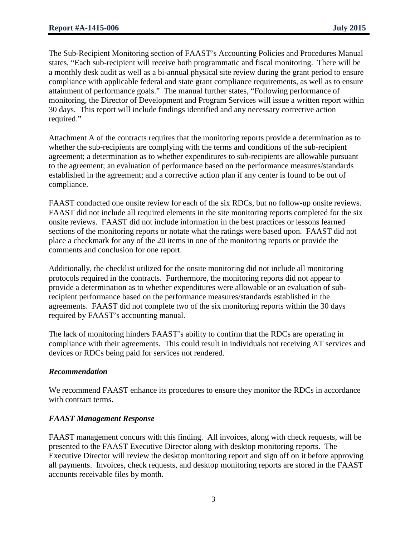The Sub-Recipient Monitoring section of FAAST's Accounting Policies and Procedures Manual states, "Each sub-recipient will receive both programmatic and fiscal monitoring. There will be a monthly desk audit as well as a bi-annual physical site review during the grant period to ensure compliance with applicable federal and state grant compliance requirements, as well as to ensure attainment of performance goals." The manual further states, "Following performance of monitoring, the Director of Development and Program Services will issue a written report within 30 days. This report will include findings identified and any necessary corrective action required."

Attachment A of the contracts requires that the monitoring reports provide a determination as to whether the sub-recipients are complying with the terms and conditions of the sub-recipient agreement; a determination as to whether expenditures to sub-recipients are allowable pursuant to the agreement; an evaluation of performance based on the performance measures/standards established in the agreement; and a corrective action plan if any center is found to be out of compliance.

FAAST conducted one onsite review for each of the six RDCs, but no follow-up onsite reviews. FAAST did not include all required elements in the site monitoring reports completed for the six onsite reviews. FAAST did not include information in the best practices or lessons learned sections of the monitoring reports or notate what the ratings were based upon. FAAST did not place a checkmark for any of the 20 items in one of the monitoring reports or provide the comments and conclusion for one report.

Additionally, the checklist utilized for the onsite monitoring did not include all monitoring protocols required in the contracts. Furthermore, the monitoring reports did not appear to provide a determination as to whether expenditures were allowable or an evaluation of subrecipient performance based on the performance measures/standards established in the agreements. FAAST did not complete two of the six monitoring reports within the 30 days required by FAAST's accounting manual.

The lack of monitoring hinders FAAST's ability to confirm that the RDCs are operating in compliance with their agreements. This could result in individuals not receiving AT services and devices or RDCs being paid for services not rendered.

#### *Recommendation*

We recommend FAAST enhance its procedures to ensure they monitor the RDCs in accordance with contract terms.

#### *FAAST Management Response*

FAAST management concurs with this finding. All invoices, along with check requests, will be presented to the FAAST Executive Director along with desktop monitoring reports. The Executive Director will review the desktop monitoring report and sign off on it before approving all payments. Invoices, check requests, and desktop monitoring reports are stored in the FAAST accounts receivable files by month.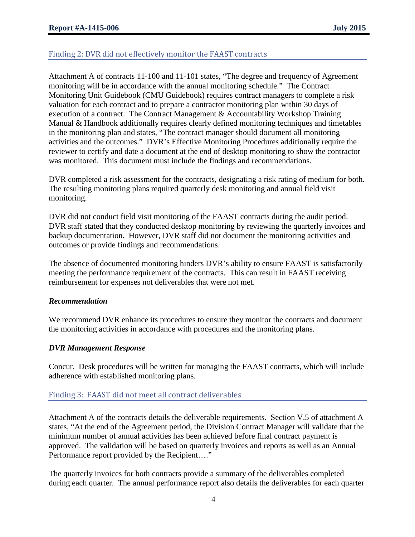# Finding 2: DVR did not effectively monitor the FAAST contracts

Attachment A of contracts 11-100 and 11-101 states, "The degree and frequency of Agreement monitoring will be in accordance with the annual monitoring schedule." The Contract Monitoring Unit Guidebook (CMU Guidebook) requires contract managers to complete a risk valuation for each contract and to prepare a contractor monitoring plan within 30 days of execution of a contract. The Contract Management & Accountability Workshop Training Manual & Handbook additionally requires clearly defined monitoring techniques and timetables in the monitoring plan and states, "The contract manager should document all monitoring activities and the outcomes." DVR's Effective Monitoring Procedures additionally require the reviewer to certify and date a document at the end of desktop monitoring to show the contractor was monitored. This document must include the findings and recommendations.

DVR completed a risk assessment for the contracts, designating a risk rating of medium for both. The resulting monitoring plans required quarterly desk monitoring and annual field visit monitoring.

DVR did not conduct field visit monitoring of the FAAST contracts during the audit period. DVR staff stated that they conducted desktop monitoring by reviewing the quarterly invoices and backup documentation. However, DVR staff did not document the monitoring activities and outcomes or provide findings and recommendations.

The absence of documented monitoring hinders DVR's ability to ensure FAAST is satisfactorily meeting the performance requirement of the contracts. This can result in FAAST receiving reimbursement for expenses not deliverables that were not met.

#### *Recommendation*

We recommend DVR enhance its procedures to ensure they monitor the contracts and document the monitoring activities in accordance with procedures and the monitoring plans.

#### *DVR Management Response*

Concur. Desk procedures will be written for managing the FAAST contracts, which will include adherence with established monitoring plans.

#### Finding 3: FAAST did not meet all contract deliverables

Attachment A of the contracts details the deliverable requirements. Section V.5 of attachment A states, "At the end of the Agreement period, the Division Contract Manager will validate that the minimum number of annual activities has been achieved before final contract payment is approved. The validation will be based on quarterly invoices and reports as well as an Annual Performance report provided by the Recipient…."

The quarterly invoices for both contracts provide a summary of the deliverables completed during each quarter. The annual performance report also details the deliverables for each quarter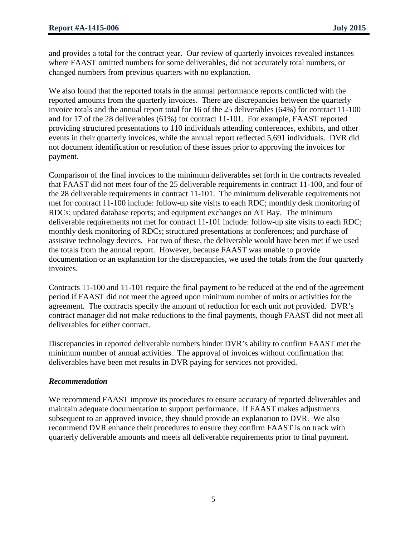and provides a total for the contract year. Our review of quarterly invoices revealed instances where FAAST omitted numbers for some deliverables, did not accurately total numbers, or changed numbers from previous quarters with no explanation.

We also found that the reported totals in the annual performance reports conflicted with the reported amounts from the quarterly invoices. There are discrepancies between the quarterly invoice totals and the annual report total for 16 of the 25 deliverables (64%) for contract 11-100 and for 17 of the 28 deliverables (61%) for contract 11-101. For example, FAAST reported providing structured presentations to 110 individuals attending conferences, exhibits, and other events in their quarterly invoices, while the annual report reflected 5,691 individuals. DVR did not document identification or resolution of these issues prior to approving the invoices for payment.

Comparison of the final invoices to the minimum deliverables set forth in the contracts revealed that FAAST did not meet four of the 25 deliverable requirements in contract 11-100, and four of the 28 deliverable requirements in contract 11-101. The minimum deliverable requirements not met for contract 11-100 include: follow-up site visits to each RDC; monthly desk monitoring of RDCs; updated database reports; and equipment exchanges on AT Bay. The minimum deliverable requirements not met for contract 11-101 include: follow-up site visits to each RDC; monthly desk monitoring of RDCs; structured presentations at conferences; and purchase of assistive technology devices. For two of these, the deliverable would have been met if we used the totals from the annual report. However, because FAAST was unable to provide documentation or an explanation for the discrepancies, we used the totals from the four quarterly invoices.

Contracts 11-100 and 11-101 require the final payment to be reduced at the end of the agreement period if FAAST did not meet the agreed upon minimum number of units or activities for the agreement. The contracts specify the amount of reduction for each unit not provided. DVR's contract manager did not make reductions to the final payments, though FAAST did not meet all deliverables for either contract.

Discrepancies in reported deliverable numbers hinder DVR's ability to confirm FAAST met the minimum number of annual activities. The approval of invoices without confirmation that deliverables have been met results in DVR paying for services not provided.

#### *Recommendation*

We recommend FAAST improve its procedures to ensure accuracy of reported deliverables and maintain adequate documentation to support performance. If FAAST makes adjustments subsequent to an approved invoice, they should provide an explanation to DVR. We also recommend DVR enhance their procedures to ensure they confirm FAAST is on track with quarterly deliverable amounts and meets all deliverable requirements prior to final payment.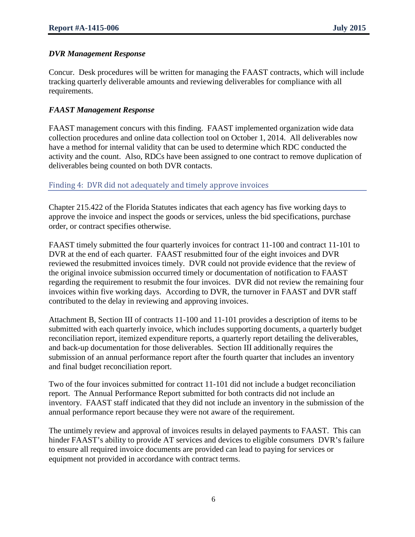#### *DVR Management Response*

Concur. Desk procedures will be written for managing the FAAST contracts, which will include tracking quarterly deliverable amounts and reviewing deliverables for compliance with all requirements.

#### *FAAST Management Response*

FAAST management concurs with this finding. FAAST implemented organization wide data collection procedures and online data collection tool on October 1, 2014. All deliverables now have a method for internal validity that can be used to determine which RDC conducted the activity and the count. Also, RDCs have been assigned to one contract to remove duplication of deliverables being counted on both DVR contacts.

#### Finding 4: DVR did not adequately and timely approve invoices

Chapter 215.422 of the Florida Statutes indicates that each agency has five working days to approve the invoice and inspect the goods or services, unless the bid specifications, purchase order, or contract specifies otherwise.

FAAST timely submitted the four quarterly invoices for contract 11-100 and contract 11-101 to DVR at the end of each quarter. FAAST resubmitted four of the eight invoices and DVR reviewed the resubmitted invoices timely. DVR could not provide evidence that the review of the original invoice submission occurred timely or documentation of notification to FAAST regarding the requirement to resubmit the four invoices. DVR did not review the remaining four invoices within five working days. According to DVR, the turnover in FAAST and DVR staff contributed to the delay in reviewing and approving invoices.

Attachment B, Section III of contracts 11-100 and 11-101 provides a description of items to be submitted with each quarterly invoice, which includes supporting documents, a quarterly budget reconciliation report, itemized expenditure reports, a quarterly report detailing the deliverables, and back-up documentation for those deliverables. Section III additionally requires the submission of an annual performance report after the fourth quarter that includes an inventory and final budget reconciliation report.

Two of the four invoices submitted for contract 11-101 did not include a budget reconciliation report. The Annual Performance Report submitted for both contracts did not include an inventory. FAAST staff indicated that they did not include an inventory in the submission of the annual performance report because they were not aware of the requirement.

The untimely review and approval of invoices results in delayed payments to FAAST. This can hinder FAAST's ability to provide AT services and devices to eligible consumers DVR's failure to ensure all required invoice documents are provided can lead to paying for services or equipment not provided in accordance with contract terms.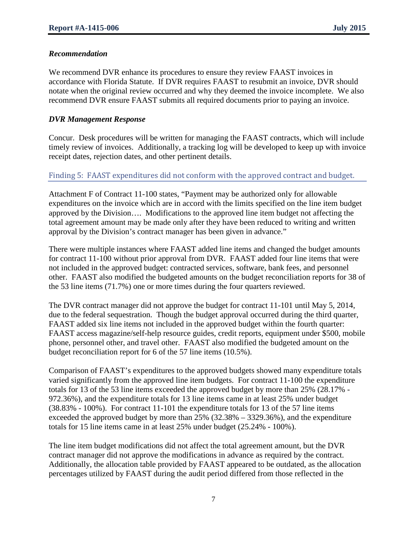#### *Recommendation*

We recommend DVR enhance its procedures to ensure they review FAAST invoices in accordance with Florida Statute. If DVR requires FAAST to resubmit an invoice, DVR should notate when the original review occurred and why they deemed the invoice incomplete. We also recommend DVR ensure FAAST submits all required documents prior to paying an invoice.

#### *DVR Management Response*

Concur. Desk procedures will be written for managing the FAAST contracts, which will include timely review of invoices. Additionally, a tracking log will be developed to keep up with invoice receipt dates, rejection dates, and other pertinent details.

#### Finding 5: FAAST expenditures did not conform with the approved contract and budget.

Attachment F of Contract 11-100 states, "Payment may be authorized only for allowable expenditures on the invoice which are in accord with the limits specified on the line item budget approved by the Division…. Modifications to the approved line item budget not affecting the total agreement amount may be made only after they have been reduced to writing and written approval by the Division's contract manager has been given in advance."

There were multiple instances where FAAST added line items and changed the budget amounts for contract 11-100 without prior approval from DVR. FAAST added four line items that were not included in the approved budget: contracted services, software, bank fees, and personnel other. FAAST also modified the budgeted amounts on the budget reconciliation reports for 38 of the 53 line items (71.7%) one or more times during the four quarters reviewed.

The DVR contract manager did not approve the budget for contract 11-101 until May 5, 2014, due to the federal sequestration. Though the budget approval occurred during the third quarter, FAAST added six line items not included in the approved budget within the fourth quarter: FAAST access magazine/self-help resource guides, credit reports, equipment under \$500, mobile phone, personnel other, and travel other. FAAST also modified the budgeted amount on the budget reconciliation report for 6 of the 57 line items (10.5%).

Comparison of FAAST's expenditures to the approved budgets showed many expenditure totals varied significantly from the approved line item budgets. For contract 11-100 the expenditure totals for 13 of the 53 line items exceeded the approved budget by more than 25% (28.17% - 972.36%), and the expenditure totals for 13 line items came in at least 25% under budget (38.83% - 100%). For contract 11-101 the expenditure totals for 13 of the 57 line items exceeded the approved budget by more than 25% (32.38% – 3329.36%), and the expenditure totals for 15 line items came in at least 25% under budget (25.24% - 100%).

The line item budget modifications did not affect the total agreement amount, but the DVR contract manager did not approve the modifications in advance as required by the contract. Additionally, the allocation table provided by FAAST appeared to be outdated, as the allocation percentages utilized by FAAST during the audit period differed from those reflected in the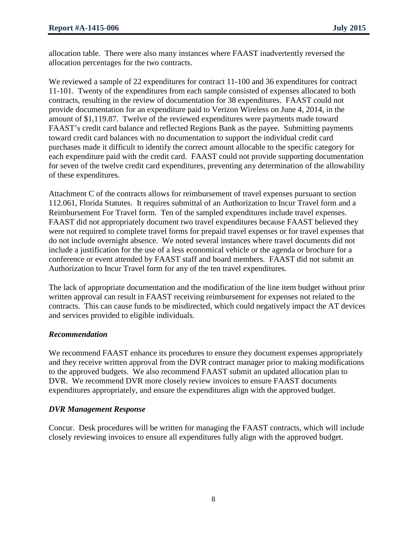allocation table. There were also many instances where FAAST inadvertently reversed the allocation percentages for the two contracts.

We reviewed a sample of 22 expenditures for contract 11-100 and 36 expenditures for contract 11-101. Twenty of the expenditures from each sample consisted of expenses allocated to both contracts, resulting in the review of documentation for 38 expenditures. FAAST could not provide documentation for an expenditure paid to Verizon Wireless on June 4, 2014, in the amount of \$1,119.87. Twelve of the reviewed expenditures were payments made toward FAAST's credit card balance and reflected Regions Bank as the payee. Submitting payments toward credit card balances with no documentation to support the individual credit card purchases made it difficult to identify the correct amount allocable to the specific category for each expenditure paid with the credit card. FAAST could not provide supporting documentation for seven of the twelve credit card expenditures, preventing any determination of the allowability of these expenditures.

Attachment C of the contracts allows for reimbursement of travel expenses pursuant to section 112.061, Florida Statutes. It requires submittal of an Authorization to Incur Travel form and a Reimbursement For Travel form. Ten of the sampled expenditures include travel expenses. FAAST did not appropriately document two travel expenditures because FAAST believed they were not required to complete travel forms for prepaid travel expenses or for travel expenses that do not include overnight absence. We noted several instances where travel documents did not include a justification for the use of a less economical vehicle or the agenda or brochure for a conference or event attended by FAAST staff and board members. FAAST did not submit an Authorization to Incur Travel form for any of the ten travel expenditures.

The lack of appropriate documentation and the modification of the line item budget without prior written approval can result in FAAST receiving reimbursement for expenses not related to the contracts. This can cause funds to be misdirected, which could negatively impact the AT devices and services provided to eligible individuals.

#### *Recommendation*

We recommend FAAST enhance its procedures to ensure they document expenses appropriately and they receive written approval from the DVR contract manager prior to making modifications to the approved budgets. We also recommend FAAST submit an updated allocation plan to DVR. We recommend DVR more closely review invoices to ensure FAAST documents expenditures appropriately, and ensure the expenditures align with the approved budget.

#### *DVR Management Response*

Concur. Desk procedures will be written for managing the FAAST contracts, which will include closely reviewing invoices to ensure all expenditures fully align with the approved budget.